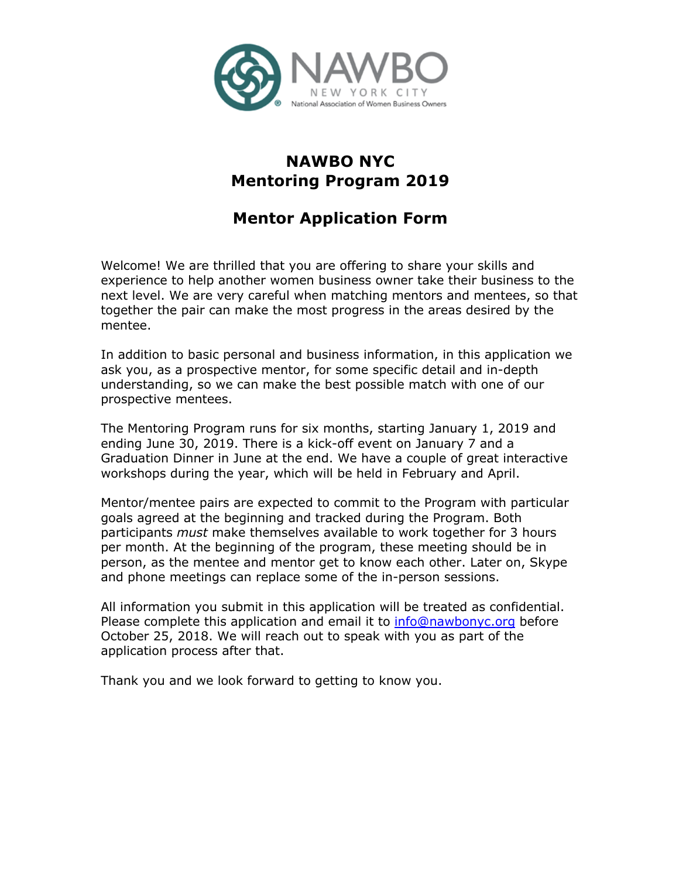

## **NAWBO NYC Mentoring Program 2019**

# **Mentor Application Form**

Welcome! We are thrilled that you are offering to share your skills and experience to help another women business owner take their business to the next level. We are very careful when matching mentors and mentees, so that together the pair can make the most progress in the areas desired by the mentee.

In addition to basic personal and business information, in this application we ask you, as a prospective mentor, for some specific detail and in-depth understanding, so we can make the best possible match with one of our prospective mentees.

The Mentoring Program runs for six months, starting January 1, 2019 and ending June 30, 2019. There is a kick-off event on January 7 and a Graduation Dinner in June at the end. We have a couple of great interactive workshops during the year, which will be held in February and April.

Mentor/mentee pairs are expected to commit to the Program with particular goals agreed at the beginning and tracked during the Program. Both participants *must* make themselves available to work together for 3 hours per month. At the beginning of the program, these meeting should be in person, as the mentee and mentor get to know each other. Later on, Skype and phone meetings can replace some of the in-person sessions.

All information you submit in this application will be treated as confidential. Please complete this application and email it to info@nawbonyc.org before October 25, 2018. We will reach out to speak with you as part of the application process after that.

Thank you and we look forward to getting to know you.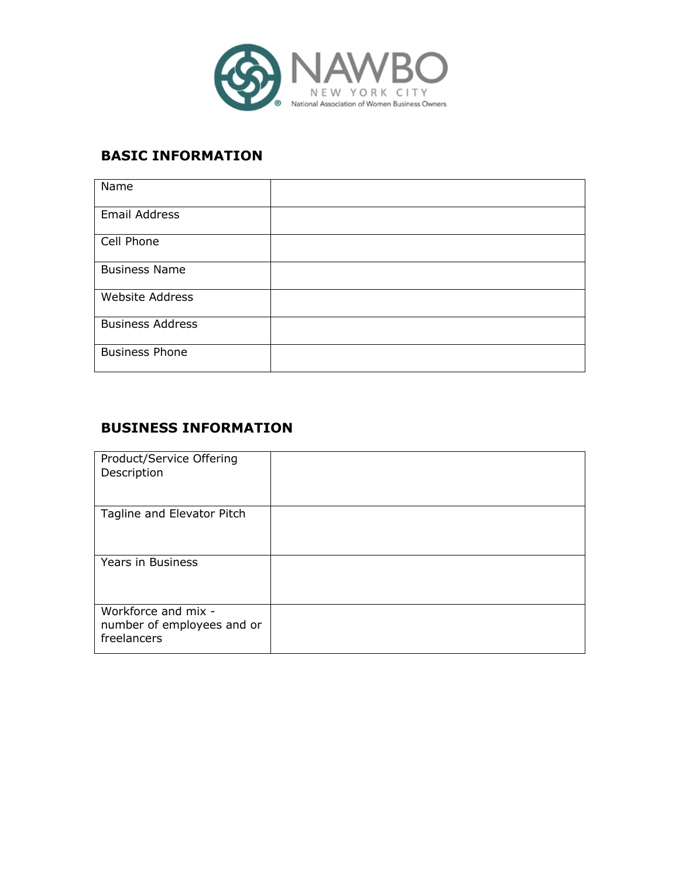

#### **BASIC INFORMATION**

| Name                    |  |
|-------------------------|--|
| Email Address           |  |
| Cell Phone              |  |
| <b>Business Name</b>    |  |
| Website Address         |  |
| <b>Business Address</b> |  |
| <b>Business Phone</b>   |  |

### **BUSINESS INFORMATION**

| Product/Service Offering<br>Description                          |  |
|------------------------------------------------------------------|--|
| Tagline and Elevator Pitch                                       |  |
| Years in Business                                                |  |
| Workforce and mix -<br>number of employees and or<br>freelancers |  |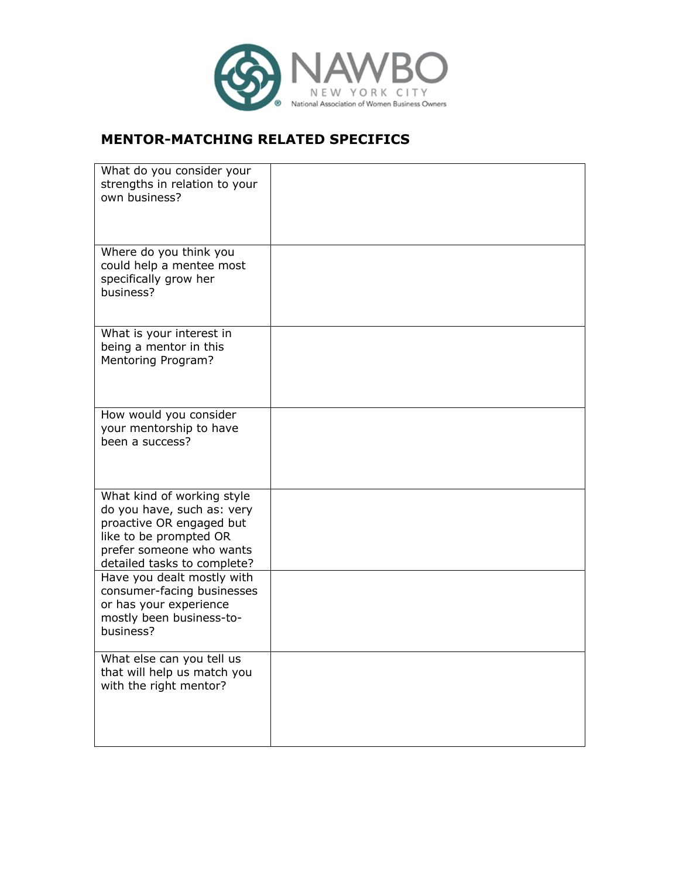

#### **MENTOR-MATCHING RELATED SPECIFICS**

| What do you consider your<br>strengths in relation to your<br>own business?                                                                                               |  |
|---------------------------------------------------------------------------------------------------------------------------------------------------------------------------|--|
| Where do you think you<br>could help a mentee most<br>specifically grow her<br>business?                                                                                  |  |
| What is your interest in<br>being a mentor in this<br>Mentoring Program?                                                                                                  |  |
| How would you consider<br>your mentorship to have<br>been a success?                                                                                                      |  |
| What kind of working style<br>do you have, such as: very<br>proactive OR engaged but<br>like to be prompted OR<br>prefer someone who wants<br>detailed tasks to complete? |  |
| Have you dealt mostly with<br>consumer-facing businesses<br>or has your experience<br>mostly been business-to-<br>business?                                               |  |
| What else can you tell us<br>that will help us match you<br>with the right mentor?                                                                                        |  |